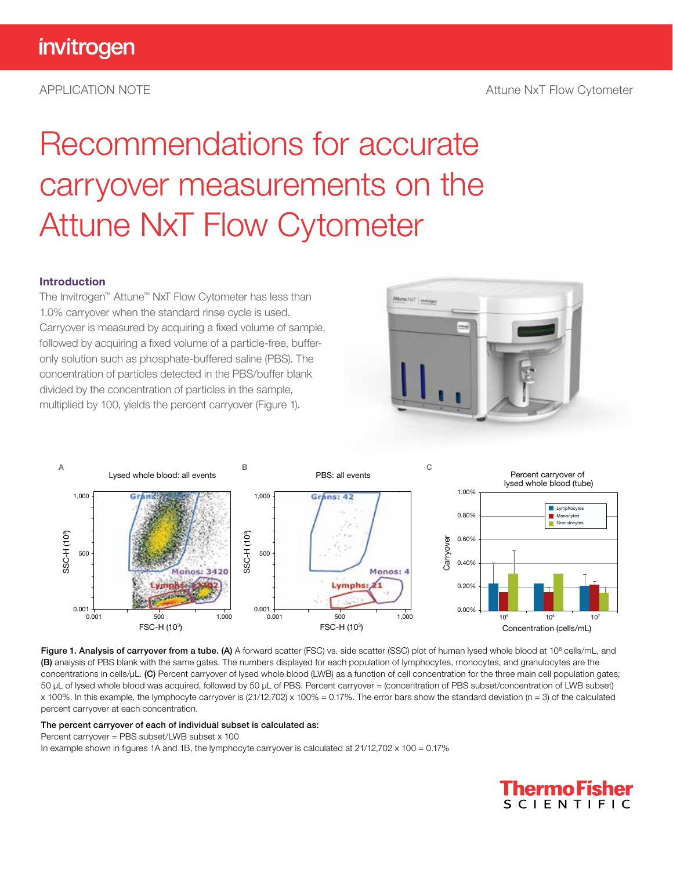# Recommendations for accurate carryover measurements on the Attune NxT Flow Cytometer

#### Introduction

The Invitrogen™ Attune™ NxT Flow Cytometer has less than 1.0% carryover when the standard rinse cycle is used. Carryover is measured by acquiring a fixed volume of sample, followed by acquiring a fixed volume of a particle-free, bufferonly solution such as phosphate-buffered saline (PBS). The concentration of particles detected in the PBS/buffer blank divided by the concentration of particles in the sample, multiplied by 100, yields the percent carryover (Figure 1).





Figure 1. Analysis of carryover from a tube. (A) A forward scatter (FSC) vs. side scatter (SSC) plot of human lysed whole blood at 10<sup>6</sup> cells/mL, and (B) analysis of PBS blank with the same gates. The numbers displayed for each population of lymphocytes, monocytes, and granulocytes are the concentrations in cells/µL. (C) Percent carryover of lysed whole blood (LWB) as a function of cell concentration for the three main cell population gates; 50 µL of lysed whole blood was acquired, followed by 50 µL of PBS. Percent carryover = (concentration of PBS subset/concentration of LWB subset) x 100%. In this example, the lymphocyte carryover is  $(21/12,702)$  x 100% = 0.17%. The error bars show the standard deviation (n = 3) of the calculated percent carryover at each concentration.

#### The percent carryover of each of individual subset is calculated as:

#### Percent carryover = PBS subset/LWB subset x 100

In example shown in figures 1A and 1B, the lymphocyte carryover is calculated at  $21/12,702 \times 100 = 0.17\%$